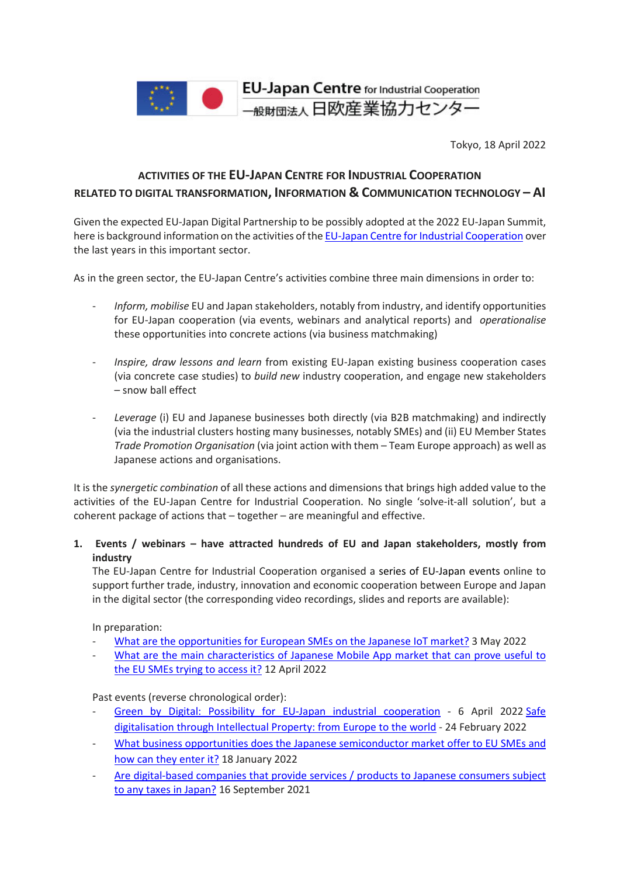

Tokyo, 18 April 2022

# **ACTIVITIES OF THE EU-JAPAN CENTRE FOR INDUSTRIAL COOPERATION RELATED TO DIGITAL TRANSFORMATION, INFORMATION & COMMUNICATION TECHNOLOGY – AI**

Given the expected EU-Japan Digital Partnership to be possibly adopted at the 2022 EU-Japan Summit, here is background information on the activities of th[e EU-Japan Centre for Industrial Cooperation](https://www.eu-japan.eu/) over the last years in this important sector.

As in the green sector, the EU-Japan Centre's activities combine three main dimensions in order to:

- *Inform, mobilise* EU and Japan stakeholders, notably from industry, and identify opportunities for EU-Japan cooperation (via events, webinars and analytical reports) and *operationalise* these opportunities into concrete actions (via business matchmaking)
- *Inspire, draw lessons and learn* from existing EU-Japan existing business cooperation cases (via concrete case studies) to *build new* industry cooperation, and engage new stakeholders – snow ball effect
- *Leverage* (i) EU and Japanese businesses both directly (via B2B matchmaking) and indirectly (via the industrial clusters hosting many businesses, notably SMEs) and (ii) EU Member States *Trade Promotion Organisation* (via joint action with them – Team Europe approach) as well as Japanese actions and organisations.

It is the *synergetic combination* of all these actions and dimensions that brings high added value to the activities of the EU-Japan Centre for Industrial Cooperation. No single 'solve-it-all solution', but a coherent package of actions that – together – are meaningful and effective.

## **1. Events / webinars – have attracted hundreds of EU and Japan stakeholders, mostly from industry**

The EU-Japan Centre for Industrial Cooperation organised a series of EU-Japan events online to support further trade, industry, innovation and economic cooperation between Europe and Japan in the digital sector (the corresponding video recordings, slides and reports are available):

In preparation:

- What are the [opportunities](https://www.eubusinessinjapan.eu/library/event/about-japan-webinar-series-194-iot-market-japan) for European SMEs on the Japanese IoT market? 3 May 2022
- What are the main [characteristics](https://www.eubusinessinjapan.eu/library/event/about-japan-webinar-series-192-digital-apps-market-japan) of Japanese Mobile App market that can prove useful to the EU SMEs trying to [access](https://www.eubusinessinjapan.eu/library/event/about-japan-webinar-series-192-digital-apps-market-japan) it? 12 April 2022

Past events (reverse chronological order):

- Green by Digital: Possibility for EU-Japan industrial [cooperation](https://www.eu-japan.eu/events/green-x-digital-possibility-eu-japan-industrial-cooperation) 6 April 2022 [Safe](http://www.eu-jp-tthelpdesk.eu/news/webinar-safe-digitalisation-through-intellectual-property-from-europe-to-the-world/) [digitalisation](http://www.eu-jp-tthelpdesk.eu/news/webinar-safe-digitalisation-through-intellectual-property-from-europe-to-the-world/) through Intellectual Property: from Europe to the world - 24 February 2022
- What business opportunities does the Japanese [semiconductor](https://www.eu-japan.eu/events/webinar-185-semiconductor-market-japan) market offer to EU SMEs and how can they [enter](https://www.eu-japan.eu/events/webinar-185-semiconductor-market-japan) it? 18 January 2022
- Are [digital-based](https://www.eu-japan.eu/events/webinar-178-digital-taxation-japan-alert-e-service-companies) companies that provide services / products to Japanese consumers subject to any taxes in [Japan?](https://www.eu-japan.eu/events/webinar-178-digital-taxation-japan-alert-e-service-companies) 16 September 2021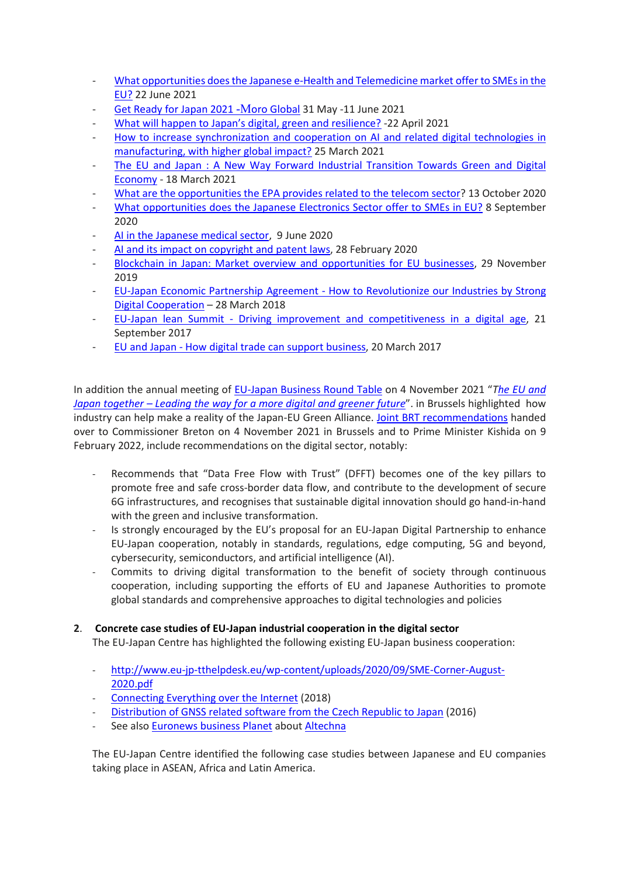- What [opportunities](https://www.eu-japan.eu/events/webinar-176-e-health-and-telemedicine-japan) does the Japanese e-Health and Telemedicine market offer to SMEs in the [EU?](https://www.eu-japan.eu/events/webinar-176-e-health-and-telemedicine-japan) 22 June 2021
- Get Ready for Japan 2021 -Moro [Global](https://www.eu-japan.eu/news/eu-japan-centres-events-digest-may-2021) 31 May -11 June 2021
- What will happen to Japan's digital, green and [resilience?](https://www.eu-japan.eu/sites/default/files/imce/2021.4.22%E3%82%A6%E3%82%A8%E3%83%93%E3%83%8A%E3%83%BC%E3%80%80%E8%AC%9B%E6%BC%94%E8%A6%81%E6%97%A8%E3%80%80.pdf) -22 April 2021
- How to increase [synchronization](https://www.eu-japan.eu/events/webinar-168-eu-japanai-project-h2020) and cooperation on AI and related digital technologies in [manufacturing,](https://www.eu-japan.eu/events/webinar-168-eu-japanai-project-h2020) with higher global impact? 25 March 2021
- The EU and Japan : A New Way Forward Industrial [Transition](https://www.eu-japan.eu/events/eu-and-japan-new-way-forward-industrial-transition-towards-green-and-digital-economy) Towards Green and Digital [Economy](https://www.eu-japan.eu/events/eu-and-japan-new-way-forward-industrial-transition-towards-green-and-digital-economy) - 18 March 2021
- What are the [opportunities](https://www.eu-japan.eu/events/epa-helpdesk-webinar-26-telecom) the EPA provides related to the telecom sector? 13 October 2020
- What [opportunities](https://www.eu-japan.eu/events/webinar-157-electronics-sector-japan) does the Japanese Electronics Sector offer to SMEs in EU? 8 September 2020
- AI in the [Japanese](https://www.eu-japan.eu/events/webinar-155-artificial-intelligence-japanese-medical-sector) medical sector, 9 June 2020
- AI and its impact on [copyright](https://www.eu-japan.eu/events/technology-transfer-34-artificial-intelligence-and-its-impact-copyright-and-patent-laws) and patent laws, 28 February 2020
- Blockchain in Japan: Market overview and [opportunities](https://www.eu-japan.eu/events/technology-transfer-webinar-31-blockchain-japan-market-overview) for EU businesses, 29 November 2019
- EU-Japan Economic Partnership Agreement How to [Revolutionize](https://www.eu-japan.eu/events/eu-japan-epa-how-revolutionize-our-industries-strong-digital-cooperation) our Industries by Strong Digital [Cooperation](https://www.eu-japan.eu/events/eu-japan-epa-how-revolutionize-our-industries-strong-digital-cooperation) – 28 March 2018
- EU-Japan lean Summit Driving improvement and [competitiveness](https://www.eu-japan.eu/events/eu-japan-lean-summit) in a digital age, 21 September 2017
- EU and Japan How digital trade can support [business,](https://www.eu-japan.eu/events/eu-and-japan-how-digital-trade-can-support-business) 20 March 2017

In addition the annual meeting of [EU-Japan Business Round Table](https://www.eu-japan-brt.eu/) on 4 November 2021 "*[The EU and](https://www.eu-japan-brt.eu/annual-meeting-2021)  Japan together – [Leading the way for a more digital and greener future](https://www.eu-japan-brt.eu/annual-meeting-2021)*". in Brussels highlighted how industry can help make a reality of the Japan-EU Green Alliance. [Joint BRT recommendations](https://www.eu-japan-brt.eu/sites/eu-japan-brt.eu/files/pastmeetings/2021/brt2021_part1_EN_final.pdf) handed over to Commissioner Breton on 4 November 2021 in Brussels and to Prime Minister Kishida on 9 February 2022, include recommendations on the digital sector, notably:

- Recommends that "Data Free Flow with Trust" (DFFT) becomes one of the key pillars to promote free and safe cross-border data flow, and contribute to the development of secure 6G infrastructures, and recognises that sustainable digital innovation should go hand-in-hand with the green and inclusive transformation.
- Is strongly encouraged by the EU's proposal for an EU-Japan Digital Partnership to enhance EU-Japan cooperation, notably in standards, regulations, edge computing, 5G and beyond, cybersecurity, semiconductors, and artificial intelligence (AI).
- Commits to driving digital transformation to the benefit of society through continuous cooperation, including supporting the efforts of EU and Japanese Authorities to promote global standards and comprehensive approaches to digital technologies and policies

## **2**. **Concrete case studies of EU-Japan industrial cooperation in the digital sector**

The EU-Japan Centre has highlighted the following existing EU-Japan business cooperation:

- [http://www.eu-jp-tthelpdesk.eu/wp-content/uploads/2020/09/SME-Corner-August-](http://www.eu-jp-tthelpdesk.eu/wp-content/uploads/2020/09/SME-Corner-August-2020.pdf)[2020.pdf](http://www.eu-jp-tthelpdesk.eu/wp-content/uploads/2020/09/SME-Corner-August-2020.pdf)
- [Connecting Everything over the Internet](https://www.eu-japan.eu/sites/default/files/publications/docs/Success%20Stories%20and%20Statistics%20EEN%20JAPAN.pdf) (2018)
- [Distribution of GNSS related software from the Czech Republic to Japan](https://www.eu-japan.eu/sites/default/files/publications/docs/Success%20Stories%20and%20Statistics%20EEN%20JAPAN.pdf) (2016)
- See also **Euronews business Planet** about **Altechna**

The EU-Japan Centre identified the following case studies between Japanese and EU companies taking place in ASEAN, Africa and Latin America.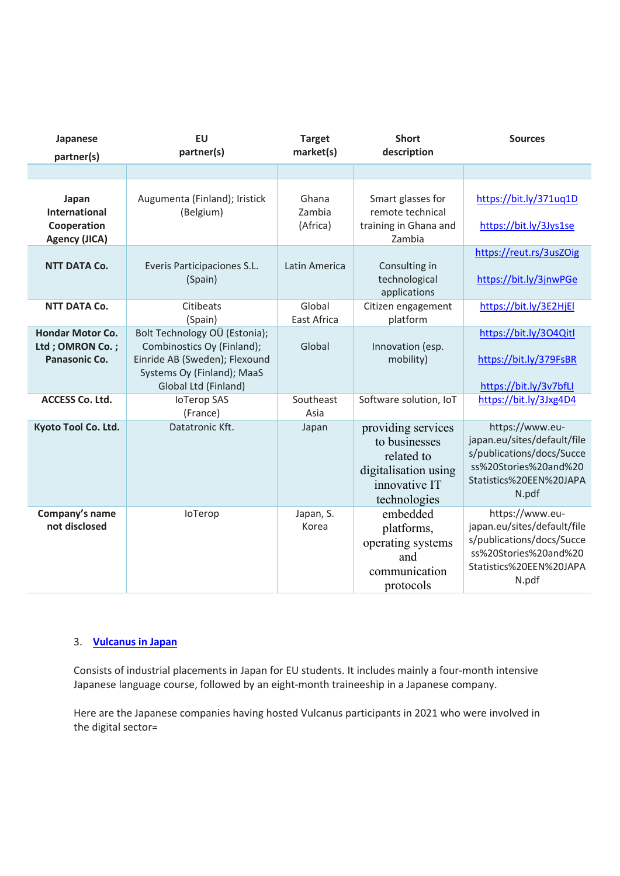| Japanese<br>partner(s)                                               | <b>EU</b><br>partner(s)                                                                                                                            | <b>Target</b><br>market(s)  | <b>Short</b><br>description                                                                                | <b>Sources</b>                                                                                                                           |
|----------------------------------------------------------------------|----------------------------------------------------------------------------------------------------------------------------------------------------|-----------------------------|------------------------------------------------------------------------------------------------------------|------------------------------------------------------------------------------------------------------------------------------------------|
|                                                                      |                                                                                                                                                    |                             |                                                                                                            |                                                                                                                                          |
| Japan<br><b>International</b><br>Cooperation<br><b>Agency (JICA)</b> | Augumenta (Finland); Iristick<br>(Belgium)                                                                                                         | Ghana<br>Zambia<br>(Africa) | Smart glasses for<br>remote technical<br>training in Ghana and<br>Zambia                                   | https://bit.ly/371uq1D<br>https://bit.ly/3Jys1se                                                                                         |
| <b>NTT DATA Co.</b>                                                  | Everis Participaciones S.L.<br>(Spain)                                                                                                             | Latin America               | Consulting in<br>technological<br>applications                                                             | https://reut.rs/3usZOig<br>https://bit.ly/3jnwPGe                                                                                        |
| <b>NTT DATA Co.</b>                                                  | Citibeats<br>(Spain)                                                                                                                               | Global<br>East Africa       | Citizen engagement<br>platform                                                                             | https://bit.ly/3E2HjEl                                                                                                                   |
| <b>Hondar Motor Co.</b><br>Ltd ; OMRON Co. ;<br>Panasonic Co.        | Bolt Technology OÜ (Estonia);<br>Combinostics Oy (Finland);<br>Einride AB (Sweden); Flexound<br>Systems Oy (Finland); MaaS<br>Global Ltd (Finland) | Global                      | Innovation (esp.<br>mobility)                                                                              | https://bit.ly/304Qitl<br>https://bit.ly/379FsBR<br>https://bit.ly/3v7bfLl                                                               |
| <b>ACCESS Co. Ltd.</b>                                               | <b>IoTerop SAS</b><br>(France)                                                                                                                     | Southeast<br>Asia           | Software solution, IoT                                                                                     | https://bit.ly/3Jxg4D4                                                                                                                   |
| Kyoto Tool Co. Ltd.                                                  | Datatronic Kft.                                                                                                                                    | Japan                       | providing services<br>to businesses<br>related to<br>digitalisation using<br>innovative IT<br>technologies | https://www.eu-<br>japan.eu/sites/default/file<br>s/publications/docs/Succe<br>ss%20Stories%20and%20<br>Statistics%20EEN%20JAPA<br>N.pdf |
| Company's name<br>not disclosed                                      | loTerop                                                                                                                                            | Japan, S.<br>Korea          | embedded<br>platforms,<br>operating systems<br>and<br>communication<br>protocols                           | https://www.eu-<br>japan.eu/sites/default/file<br>s/publications/docs/Succe<br>ss%20Stories%20and%20<br>Statistics%20EEN%20JAPA<br>N.pdf |

## 3. **[Vulcanus](https://www.eu-japan.eu/events/vulcanus-japan) in Japan**

Consists of industrial placements in Japan for EU students. It includes mainly a four-month intensive Japanese language course, followed by an eight-month traineeship in a Japanese company.

Here are the Japanese companies having hosted Vulcanus participants in 2021 who were involved in the digital sector=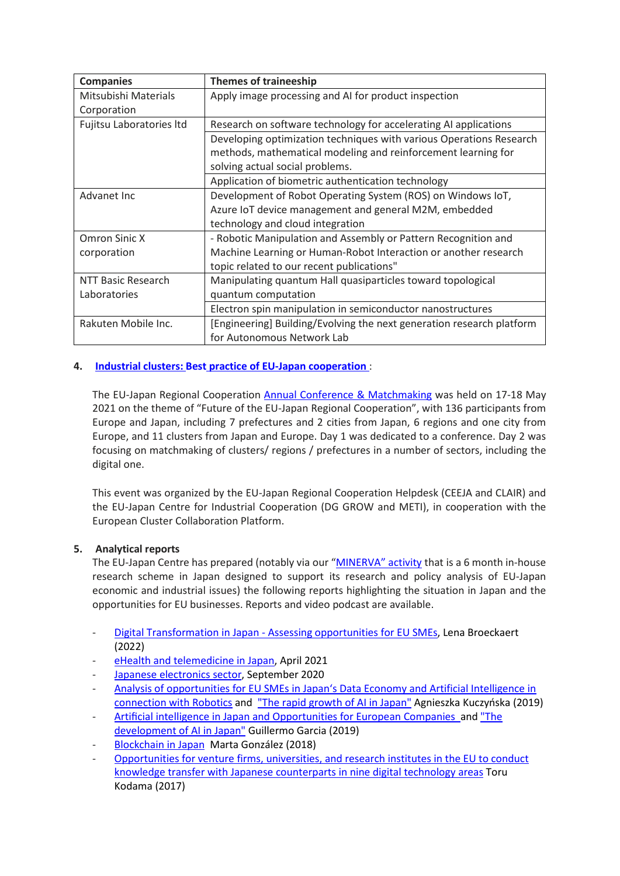| <b>Companies</b>         | <b>Themes of traineeship</b>                                          |
|--------------------------|-----------------------------------------------------------------------|
| Mitsubishi Materials     | Apply image processing and AI for product inspection                  |
| Corporation              |                                                                       |
| Fujitsu Laboratories Itd | Research on software technology for accelerating AI applications      |
|                          | Developing optimization techniques with various Operations Research   |
|                          | methods, mathematical modeling and reinforcement learning for         |
|                          | solving actual social problems.                                       |
|                          | Application of biometric authentication technology                    |
| Advanet Inc              | Development of Robot Operating System (ROS) on Windows IoT,           |
|                          | Azure IoT device management and general M2M, embedded                 |
|                          | technology and cloud integration                                      |
| Omron Sinic X            | - Robotic Manipulation and Assembly or Pattern Recognition and        |
| corporation              | Machine Learning or Human-Robot Interaction or another research       |
|                          | topic related to our recent publications"                             |
| NTT Basic Research       | Manipulating quantum Hall quasiparticles toward topological           |
| Laboratories             | quantum computation                                                   |
|                          | Electron spin manipulation in semiconductor nanostructures            |
| Rakuten Mobile Inc.      | [Engineering] Building/Evolving the next generation research platform |
|                          | for Autonomous Network Lab                                            |

## **4. Industrial clusters: Best practice of EU-Japan [cooperation](https://www.ejrc-helpdesk.eu/best-practices5de790d2)** :

The EU-Japan Regional Cooperation [Annual Conference & Matchmaking](https://www.ejrc-helpdesk.eu/best-practices5de790d2) was held on 17-18 May 2021 on the theme of "Future of the EU-Japan Regional Cooperation", with 136 participants from Europe and Japan, including 7 prefectures and 2 cities from Japan, 6 regions and one city from Europe, and 11 clusters from Japan and Europe. Day 1 was dedicated to a conference. Day 2 was focusing on matchmaking of clusters/ regions / prefectures in a number of sectors, including the digital one.

This event was organized by the EU-Japan Regional Cooperation Helpdesk (CEEJA and CLAIR) and the EU-Japan Centre for Industrial Cooperation (DG GROW and METI), in cooperation with the European Cluster Collaboration Platform.

## **5. Analytical reports**

The EU-Japan Centre has prepared (notably via our ["MINERVA"](https://www.eu-japan.eu/minerva_programme) activity that is a 6 month in-house research scheme in Japan designed to support its research and policy analysis of EU-Japan economic and industrial issues) the following reports highlighting the situation in Japan and the opportunities for EU businesses. Reports and video podcast are available.

- Digital Transformation in Japan [Assessing opportunities for EU SMEs,](https://www.eu-japan.eu/sites/default/files/publications/docs/Digital-Transformation-Japan-Assessing-opportunities-forEU-SMEs.pdf) Lena Broeckaert (2022)
- [eHealth and telemedicine in Japan,](https://www.eu-japan.eu/publications/report-e-health-and-telemedicine-japan) April 2021
- [Japanese electronics sector,](https://www.eu-japan.eu/publications/report-japanese-electronics-sector) September 2020
- [Analysis of opportunities for EU SMEs in Japan's Data Economy and Artificial Intelligence in](https://www.eu-japan.eu/sites/default/files/publications/docs/ak_report_2019.pdf)  [connection with Robotics](https://www.eu-japan.eu/sites/default/files/publications/docs/ak_report_2019.pdf) and ["The rapid growth of AI in Japan"](https://www.openaccessgovernment.org/artificial-intelligence-in-japan/80985/) Agnieszka Kuczyńska (2019)
- Artifi[cial intelligence in Japan and Opportunities for European](https://www.eu-japan.eu/sites/default/files/publications/docs/artificial_intelligence_in_japan_-_guillermo_garcia_-_0511.pdf) Companies an[d "The](https://www.openaccessgovernment.org/japan-the-development-of-artificial-intelligence/79274/)  [development of AI in Japan"](https://www.openaccessgovernment.org/japan-the-development-of-artificial-intelligence/79274/) Guillermo Garcia (2019)
- [Blockchain in Japan](https://www.eu-japan.eu/publications/blockchain-japan-minerva-fellowship) Marta González (2018)
- [Opportunities for venture firms, universities, and research institutes in the EU to conduct](https://www.eu-japan.eu/publications/opportunities-venture-firms-universities-and-research-institutes-eu-conduct-knowledge)  [knowledge transfer with Japanese counterparts in nine digital technology areas](https://www.eu-japan.eu/publications/opportunities-venture-firms-universities-and-research-institutes-eu-conduct-knowledge) Toru Kodama (2017)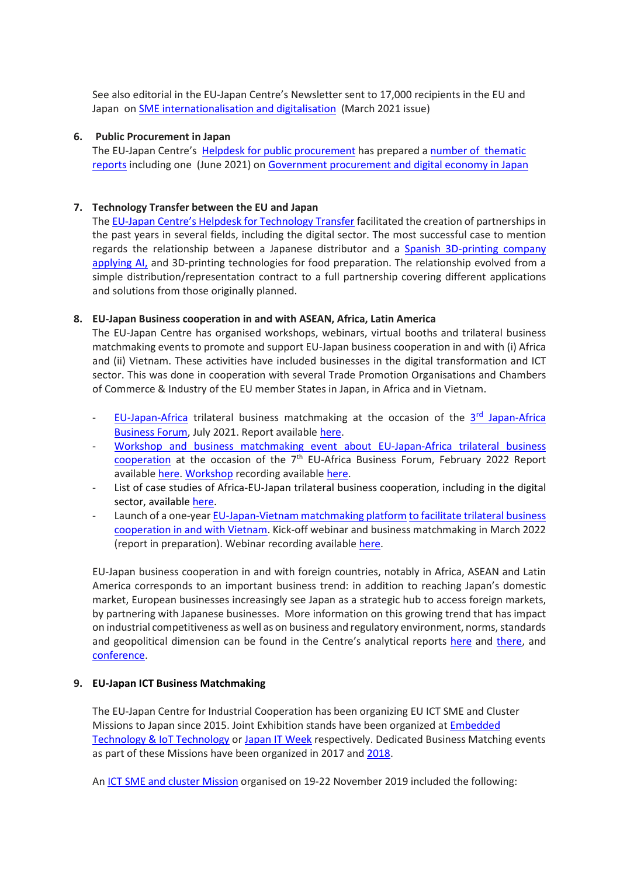See also editorial in the EU-Japan Centre's Newsletter sent to 17,000 recipients in the EU and Japan on SME [internationalisation](https://www.eu-japan.eu/sites/default/files/publications/docs/march21.pdf) and digitalisation (March 2021 issue)

#### **6. Public Procurement in Japan**

The EU-Japan Centre's Helpdesk for public [procurement](https://www.eu-japan.eu/japan-tax-public-procurement-helpdesk#:%7E:text=The%20JTPP%20Helpdesk%20aims%20to,might%20impede%20your%20business%20activities.) has prepared a number of [thematic](https://www.eu-japan.eu/government-procurement-thematic-reports) [reports](https://www.eu-japan.eu/government-procurement-thematic-reports) including one (June 2021) on Government [procurement](https://www.eu-japan.eu/government-procurement-digital-economy-0) and digital economy in Japan

#### **7. Technology Transfer between the EU and Japan**

The EU-Japan Centre's Helpdesk for [Technology](http://www.eu-jp-tthelpdesk.eu/) Transfer facilitated the creation of partnerships in the past years in several fields, including the digital sector. The most successful case to mention regards the relationship between a Japanese distributor and a Spanish [3D-printing](http://www.eu-jp-tthelpdesk.eu/wp-content/uploads/2020/09/SME-Corner-August-2020.pdf) company [applying](http://www.eu-jp-tthelpdesk.eu/wp-content/uploads/2020/09/SME-Corner-August-2020.pdf) AI, and 3D-printing technologies for food preparation. The relationship evolved from a simple distribution/representation contract to a full partnership covering different applications and solutions from those originally planned.

#### **8. EU-Japan Business cooperation in and with ASEAN, Africa, Latin America**

The EU-Japan Centre has organised workshops, webinars, virtual booths and trilateral business matchmaking events to promote and support EU-Japan business cooperation in and with (i) Africa and (ii) Vietnam. These activities have included businesses in the digital transformation and ICT sector. This was done in cooperation with several Trade Promotion Organisations and Chambers of Commerce & Industry of the EU member States in Japan, in Africa and in Vietnam.

- EU-[Japan-Africa](https://www.jabf2021.com/en/index.html) trilateral business matchmaking at the occasion of the  $3<sup>rd</sup>$  Japan-Africa [Business](https://www.jabf2021.com/en/index.html) Forum, July 2021. Report available [here.](https://www.eu-japan.eu/sites/default/files/imce/reports/een/jabf-2021.pdf)
- Workshop and business [matchmaking](https://eu-japan-africa-2022.b2match.io/) event about EU-Japan-Africa trilateral business cooperation at the occasion of the  $7<sup>th</sup>$  EU-Africa Business Forum, February 2022 Report available [here.](https://www.eu-japan.eu/sites/default/files/imce/EJP3A/EABF2022_Event_Report.pdf) Workshop recording available [here.](https://www.eu-japan.eu/publications/eabf-2022-workshop-eu-japan-business-cooperation-and-africa-video)
- List of case studies of Africa-EU-Japan trilateral business cooperation, including in the digital sector, available [here.](https://www.eu-japan.eu/sites/default/files/imce/EJP3A/Case_studies_EU_Japan_Africa_business_cooperation.pdf)
- Launch of a one-year [EU-Japan-Vietnam](https://eu-japan-vietnam-2022.b2match.io/) matchmaking platform to facilitate trilateral business cooperation in and with Vietnam. Kick-off webinar and business matchmaking in March 2022 (report in preparation). Webinar recording available [here.](https://www.eu-japan.eu/videos/webinar-EU-Japan-Business-Matchmaking-Vietnam-070322.mp4)

EU-Japan business cooperation in and with foreign countries, notably in Africa, ASEAN and Latin America corresponds to an important business trend: in addition to reaching Japan's domestic market, European businesses increasingly see Japan as a strategic hub to access foreign markets, by partnering with Japanese businesses. More information on this growing trend that has impact on industrial competitiveness as well as on business and regulatory environment, norms, standards and geopolitical dimension can be found in the Centre's analytical reports [here](https://www.eu-japan.eu/publications/eu-japan-business-cooperation-third-markets-focus-digital-economy) and [there,](https://www.eu-japan.eu/publications/analysis-eu-japan-business-cooperation-third-countries) and [conference.](https://www.eu-japan.eu/events/eu-japan-business-collaborations-third-markets)

#### **9. EU-Japan ICT Business Matchmaking**

The EU-Japan Centre for Industrial Cooperation has been organizing EU ICT SME and Cluster Missions to Japan since 2015. Joint Exhibition stands have been organized at [Embedded](https://www.jasa.or.jp/expo/english/)  [Technology & IoT Technology](https://www.jasa.or.jp/expo/english/) or [Japan IT Week](https://www.japan-it.jp/en-gb.html) respectively. Dedicated Business Matching events as part of these Missions have been organized in 2017 an[d 2018.](https://ict-tokyo2018.b2match.io/)

An ICT SME and cluster [Mission](https://www.eu-japan.eu/events/ict-clustersme-mission) organised on 19-22 November 2019 included the following: